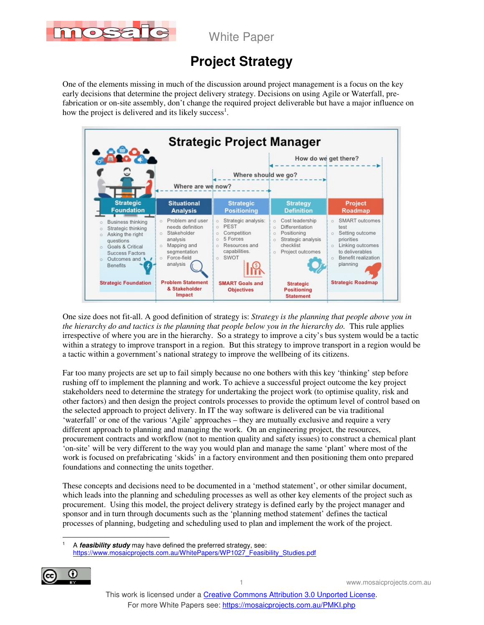

White Paper

# **Project Strategy**

One of the elements missing in much of the discussion around project management is a focus on the key early decisions that determine the project delivery strategy. Decisions on using Agile or Waterfall, prefabrication or on-site assembly, don't change the required project deliverable but have a major influence on how the project is delivered and its likely success<sup>1</sup>.



One size does not fit-all. A good definition of strategy is: *Strategy is the planning that people above you in the hierarchy do and tactics is the planning that people below you in the hierarchy do.* This rule applies irrespective of where you are in the hierarchy. So a strategy to improve a city's bus system would be a tactic within a strategy to improve transport in a region. But this strategy to improve transport in a region would be a tactic within a government's national strategy to improve the wellbeing of its citizens.

Far too many projects are set up to fail simply because no one bothers with this key 'thinking' step before rushing off to implement the planning and work. To achieve a successful project outcome the key project stakeholders need to determine the strategy for undertaking the project work (to optimise quality, risk and other factors) and then design the project controls processes to provide the optimum level of control based on the selected approach to project delivery. In IT the way software is delivered can be via traditional 'waterfall' or one of the various 'Agile' approaches – they are mutually exclusive and require a very different approach to planning and managing the work. On an engineering project, the resources, procurement contracts and workflow (not to mention quality and safety issues) to construct a chemical plant 'on-site' will be very different to the way you would plan and manage the same 'plant' where most of the work is focused on prefabricating 'skids' in a factory environment and then positioning them onto prepared foundations and connecting the units together.

These concepts and decisions need to be documented in a 'method statement', or other similar document, which leads into the planning and scheduling processes as well as other key elements of the project such as procurement. Using this model, the project delivery strategy is defined early by the project manager and sponsor and in turn through documents such as the 'planning method statement' defines the tactical processes of planning, budgeting and scheduling used to plan and implement the work of the project.

 $\overline{a}$ 1 A **feasibility study** may have defined the preferred strategy, see: https://www.mosaicprojects.com.au/WhitePapers/WP1027\_Feasibility\_Studies.pdf

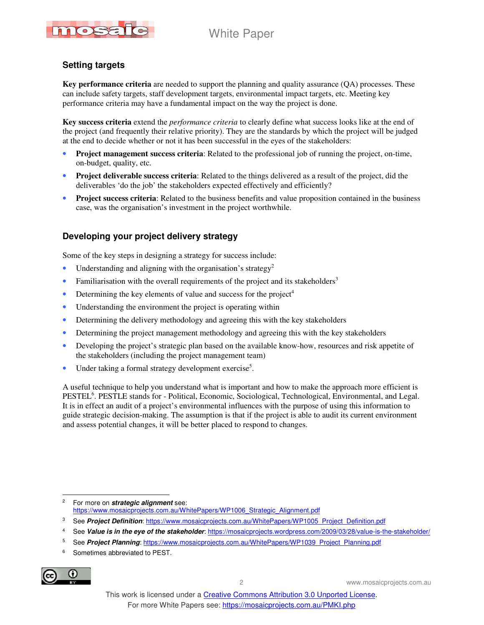## White Paper



### **Setting targets**

**Key performance criteria** are needed to support the planning and quality assurance (QA) processes. These can include safety targets, staff development targets, environmental impact targets, etc. Meeting key performance criteria may have a fundamental impact on the way the project is done.

**Key success criteria** extend the *performance criteria* to clearly define what success looks like at the end of the project (and frequently their relative priority). They are the standards by which the project will be judged at the end to decide whether or not it has been successful in the eyes of the stakeholders:

- **Project management success criteria**: Related to the professional job of running the project, on-time, on-budget, quality, etc.
- **Project deliverable success criteria**: Related to the things delivered as a result of the project, did the deliverables 'do the job' the stakeholders expected effectively and efficiently?
- **Project success criteria**: Related to the business benefits and value proposition contained in the business case, was the organisation's investment in the project worthwhile.

#### **Developing your project delivery strategy**

Some of the key steps in designing a strategy for success include:

- Understanding and aligning with the organisation's strategy<sup>2</sup>
- Familiarisation with the overall requirements of the project and its stakeholders<sup>3</sup>
- Determining the key elements of value and success for the project<sup>4</sup>
- Understanding the environment the project is operating within
- Determining the delivery methodology and agreeing this with the key stakeholders
- Determining the project management methodology and agreeing this with the key stakeholders
- Developing the project's strategic plan based on the available know-how, resources and risk appetite of the stakeholders (including the project management team)
- Under taking a formal strategy development exercise<sup>5</sup>.

A useful technique to help you understand what is important and how to make the approach more efficient is PESTEL<sup>6</sup>. PESTLE stands for - Political, Economic, Sociological, Technological, Environmental, and Legal. It is in effect an audit of a project's environmental influences with the purpose of using this information to guide strategic decision-making. The assumption is that if the project is able to audit its current environment and assess potential changes, it will be better placed to respond to changes.

- 4 See **Value is in the eye of the stakeholder**: https://mosaicprojects.wordpress.com/2009/03/28/value-is-the-stakeholder/
- 5 See **Project Planning**: https://www.mosaicprojects.com.au/WhitePapers/WP1039\_Project\_Planning.pdf
- <sup>6</sup> Sometimes abbreviated to PEST.



 $\ddot{\phantom{a}}$ 2 For more on **strategic alignment** see: https://www.mosaicprojects.com.au/WhitePapers/WP1006\_Strategic\_Alignment.pdf

<sup>&</sup>lt;sup>3</sup> See *Project Definition*: https://www.mosaicprojects.com.au/WhitePapers/WP1005 Project Definition.pdf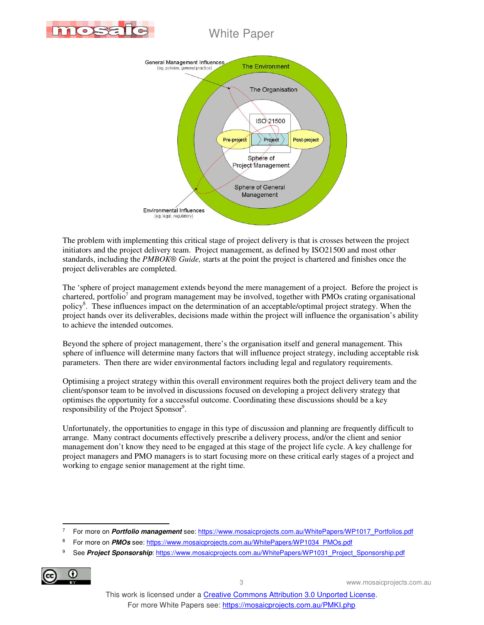

## White Paper



The problem with implementing this critical stage of project delivery is that is crosses between the project initiators and the project delivery team. Project management, as defined by ISO21500 and most other standards, including the *PMBOK® Guide,* starts at the point the project is chartered and finishes once the project deliverables are completed.

The 'sphere of project management extends beyond the mere management of a project. Before the project is chartered, portfolio<sup>7</sup> and program management may be involved, together with PMOs crating organisational policy<sup>8</sup>. These influences impact on the determination of an acceptable/optimal project strategy. When the project hands over its deliverables, decisions made within the project will influence the organisation's ability to achieve the intended outcomes.

Beyond the sphere of project management, there's the organisation itself and general management. This sphere of influence will determine many factors that will influence project strategy, including acceptable risk parameters. Then there are wider environmental factors including legal and regulatory requirements.

Optimising a project strategy within this overall environment requires both the project delivery team and the client/sponsor team to be involved in discussions focused on developing a project delivery strategy that optimises the opportunity for a successful outcome. Coordinating these discussions should be a key responsibility of the Project Sponsor<sup>9</sup>.

Unfortunately, the opportunities to engage in this type of discussion and planning are frequently difficult to arrange. Many contract documents effectively prescribe a delivery process, and/or the client and senior management don't know they need to be engaged at this stage of the project life cycle. A key challenge for project managers and PMO managers is to start focusing more on these critical early stages of a project and working to engage senior management at the right time.

<sup>9</sup> See **Project Sponsorship:** https://www.mosaicprojects.com.au/WhitePapers/WP1031\_Project\_Sponsorship.pdf



 $\ddot{\phantom{a}}$ 7 For more on **Portfolio management** see: https://www.mosaicprojects.com.au/WhitePapers/WP1017\_Portfolios.pdf

<sup>8</sup> For more on **PMOs** see: https://www.mosaicprojects.com.au/WhitePapers/WP1034\_PMOs.pdf